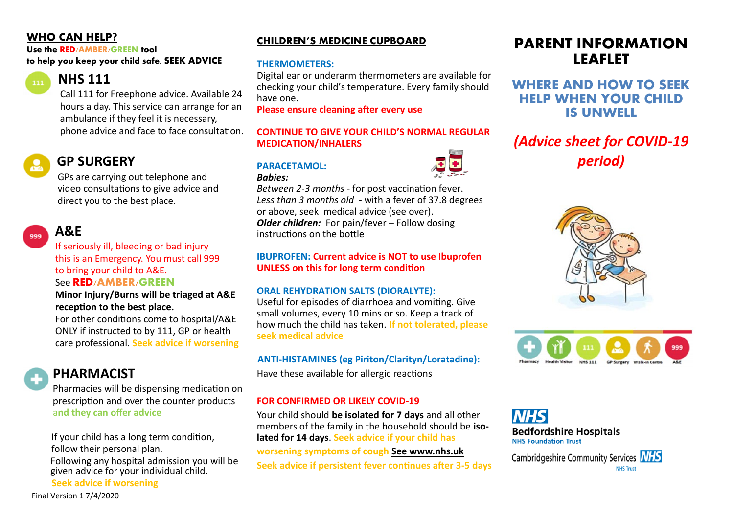## **WHO CAN HELP?**

**Use the RED/AMBER/GREEN tool to help you keep your child safe. SEEK ADVICE**

# *<b>R***NHS** 111

 Call 111 for Freephone advice. Available 24 hours a day. This service can arrange for an ambulance if they feel it is necessary, phone advice and face to face consultation.

# **GP SURGERY**

 GPs are carrying out telephone and video consultations to give advice and direct you to the best place.

# **A&E**

 If seriously ill, bleeding or bad injury this is an Emergency. You must call 999 to bring your child to A&E.

### See **RED/AMBER/GREEN**

#### **Minor Injury/Burns will be triaged at A&E reception to the best place.**

 For other conditions come to hospital/A&E ONLY if instructed to by 111, GP or health care professional. **Seek advice if worsening**

**PHARMACIST**

 Pharmacies will be dispensing medication on prescription and over the counter products a**nd they can offer advice**

If your child has a long term condition, follow their personal plan.

Following any hospital admission you will be given advice for your individual child. **Seek advice if worsening**

Final Version 1 7/4/2020

### **CHILDREN'S MEDICINE CUPBOARD**

### **THERMOMETERS:**

Digital ear or underarm thermometers are available for checking your child's temperature. Every family should have one.

**Please ensure cleaning after every use**

#### **CONTINUE TO GIVE YOUR CHILD'S NORMAL REGULAR MEDICATION/INHALERS**

## **PARACETAMOL:**



*Between 2-3 months -* for post vaccination fever. *Less than 3 months old -* with a fever of 37.8 degrees or above, seek medical advice (see over). *Older children:* For pain/fever – Follow dosing instructions on the bottle

#### **IBUPROFEN: Current advice is NOT to use Ibuprofen UNLESS on this for long term condition**

### **ORAL REHYDRATION SALTS (DIORALYTE):**

Useful for episodes of diarrhoea and vomiting. Give small volumes, every 10 mins or so. Keep a track of how much the child has taken. **If not tolerated, please seek medical advice**

### **ANTI-HISTAMINES (eg Piriton/Clarityn/Loratadine):**

Have these available for allergic reactions

### **FOR CONFIRMED OR LIKELY COVID-19**

Your child should **be isolated for 7 days** and all other members of the family in the household should be **isolated for 14 days**. **Seek advice if your child has**

**worsening symptoms of cough See www.nhs.uk Seek advice if persistent fever continues after 3-5 days**

# **PARENT INFORMATION LEAFLET**

## **WHERE AND HOW TO SEEK HELP WHEN YOUR CHILD IS UNWELL**

# *(Advice sheet for COVID-19 period)*





**Bedfordshire Hospitals NHS Foundation Trust** 

Cambridgeshire Community Services NHS **NHS Trust**